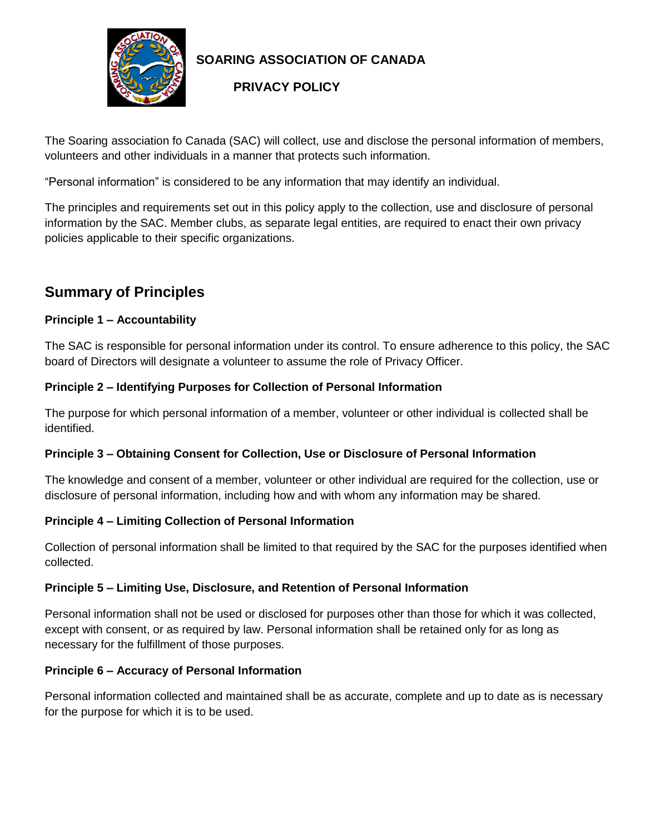

### **SOARING ASSOCIATION OF CANADA**

### **PRIVACY POLICY**

The Soaring association fo Canada (SAC) will collect, use and disclose the personal information of members, volunteers and other individuals in a manner that protects such information.

"Personal information" is considered to be any information that may identify an individual.

The principles and requirements set out in this policy apply to the collection, use and disclosure of personal information by the SAC. Member clubs, as separate legal entities, are required to enact their own privacy policies applicable to their specific organizations.

# **Summary of Principles**

#### **Principle 1 – Accountability**

The SAC is responsible for personal information under its control. To ensure adherence to this policy, the SAC board of Directors will designate a volunteer to assume the role of Privacy Officer.

#### **Principle 2 – Identifying Purposes for Collection of Personal Information**

The purpose for which personal information of a member, volunteer or other individual is collected shall be identified.

#### **Principle 3 – Obtaining Consent for Collection, Use or Disclosure of Personal Information**

The knowledge and consent of a member, volunteer or other individual are required for the collection, use or disclosure of personal information, including how and with whom any information may be shared.

#### **Principle 4 – Limiting Collection of Personal Information**

Collection of personal information shall be limited to that required by the SAC for the purposes identified when collected.

#### **Principle 5 – Limiting Use, Disclosure, and Retention of Personal Information**

Personal information shall not be used or disclosed for purposes other than those for which it was collected, except with consent, or as required by law. Personal information shall be retained only for as long as necessary for the fulfillment of those purposes.

#### **Principle 6 – Accuracy of Personal Information**

Personal information collected and maintained shall be as accurate, complete and up to date as is necessary for the purpose for which it is to be used.